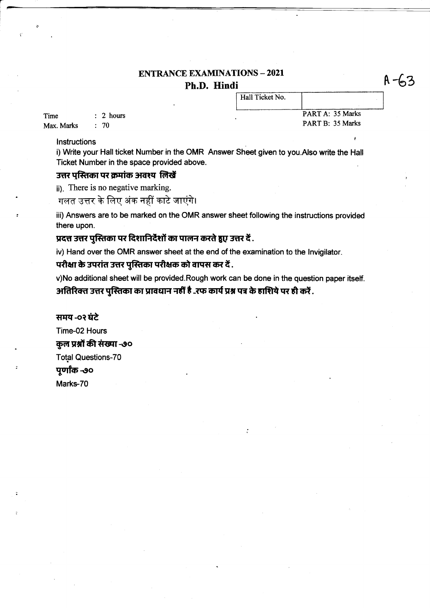# **ENTRANCE EXAMINATIONS - 2021** Ph.D. Hindi

Hall Ticket No.

Time  $: 2 hours$  $: 70$ Max. Marks

PART A: 35 Marks PART B: 35 Marks

#### Instructions

i) Write your Hall ticket Number in the OMR Answer Sheet given to you.Also write the Hall Ticket Number in the space provided above.

## उत्तर पस्तिका पर क्रमांक अवश्य लिखें

(ii). There is no negative marking.

गलत उत्तर के लिए अंक नहीं काटे जाएंगे।

iii) Answers are to be marked on the OMR answer sheet following the instructions provided there upon.

## , प्रदत्त उत्तर पुस्तिका पर दिशानिर्देशों का पालन करते हुए उत्तर दें

iv) Hand over the OMR answer sheet at the end of the examination to the Invigilator.

## परीक्षा के उपरांत उत्तर पुस्तिका परीक्षक को वापस कर दें .

v)No additional sheet will be provided.Rough work can be done in the question paper itself. अतिरिक्त उत्तर पुस्तिका का प्रावधान नहीं है .रफ कार्य प्रश्न पत्र के हाशिये पर ही करें .

समय -०२ घंटे Time-02 Hours कुल प्रश्नों की संख्या -७० **Total Questions-70** पूर्णांक -७० Marks-70

 $A - 62$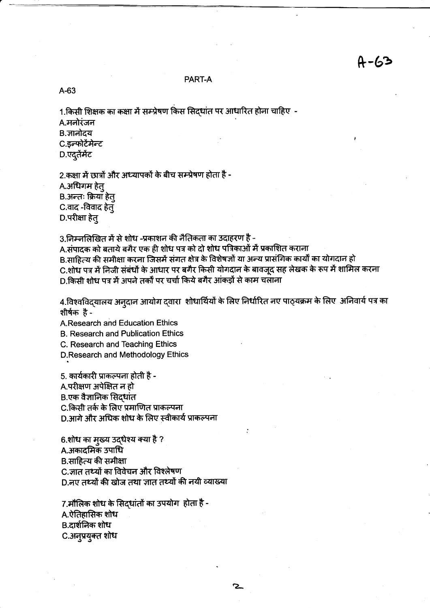#### PART-A

 $A-63$ 

1.किसी शिक्षक का कक्षा में सम्प्रेषण किस सिदधांत पर आधारित होना चाहिए -

A.मनोरंजन

B. ज्ञानोदय

C.इन्फोटेंमेन्ट

D.एदूतेंमेंट

2.कक्षा में छात्रों और अध्यापकों के बीच सम्प्रेषण होता है -

A.अधिगम हेत्

B.अन्तः क्रियाँ हेत्

C.वाद -विवाद हेत्

D.परीक्षा हेत्

3.निम्नलिखित में से शोध -प्रकाशन की नैतिकता का उदाहरण है -

A.संपादक को बताये बगैर एक ही शोध पत्र को दो शोध पत्रिकाओं में प्रकाशित कराना

B.साहित्य की समीक्षा करना जिसमें संगत क्षेत्र के विशेषज्ञों या अन्य प्रासंगिक कार्यों का योगदान हो

C.शोध पत्र में निजी संबंधों के आधार पर बगैर किसी योगदान के बावजुद सह लेखक के रूप में शामिल करना D.किसी शोध पत्र में अपने तर्कों पर चर्चा किये बगैर आंकड़ों से काम चलाना

4.विश्वविद्यालय अनुदान आयोग द्वारा शोधार्थियों के लिए निर्धारित नए पाठ्यक्रम के लिए अनिवार्य पत्र का शीर्षक है-

2

A Research and Education Ethics

**B. Research and Publication Ethics** 

C. Research and Teaching Ethics

D.Research and Methodology Ethics

5. कार्यकारी प्राकल्पना होती है -A.परीक्षण अपेक्षित न हो B.एक वैज्ञानिक सिदधांत C.किसी तर्क के लिए प्रमाणित प्राकल्पना D.आगे और अधिक शोध के लिए स्वीकार्य प्राकल्पना

6.शोध का मुख्य उद्धेश्य क्या है ? A.अकादमिक उपाधि B.साहित्य की समीक्षा C.जात तथ्यों का विवेचन और विश्लेषण D.नए तथ्यों की खोज तथा जात तथ्यों की नयी व्याख्या

7.मौलिक शोध के सिदधांतों का उपयोग होता है -A.ऐतिहासिक शोध B.दार्शनिक शोध C.अनुप्रयुक्त शोध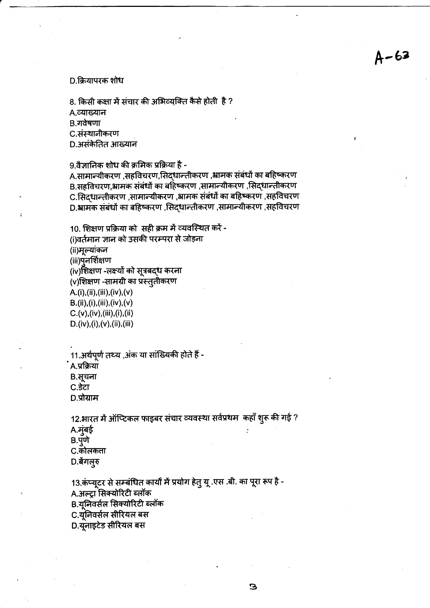D.क्रियापरक शोध

8. किसी कक्षा में संचार की अभिव्यक्ति कैसे होती है ?

A.व्याख्यान

B.गवेषणा

C.संस्थानीकरण

D.असंकेतित आख्यान

9.वैज्ञानिक शोध की क्रमिक प्रक्रिया है -

A.सामान्यीकरण ,सहविचरण,सिद्धान्तीकरण ,भ्रामक संबंधों का बहिष्करण B.सहविचरण,भ्रामक संबंधों का बहिष्करण ,सामान्यीकरण ,सिद्धान्तीकरण C.सिदधान्तीकरण ,सामान्यीकरण ,भ्रामक संबंधों का बहिष्करण ,सहविचरण D.आमक संबंधों का बहिष्करण ,सिद्धान्तीकरण ,सामान्यीकरण ,सहविचरण

10. शिक्षण प्रक्रिया को सही क्रम में व्यवस्थित करें -

(i)वर्तमान ज्ञान को उसकी परम्परा से जोड़ना

(ii)मूल्यांकन

(iii)पुनर्शिक्षण

(iv)शिक्षण -लक्ष्यों को सूत्रबद्ध करना

(v)शिक्षण -सामग्री का प्रस्तुतीकरण

A.(i),(ii),(iii),(iv),(v)  $B.(ii),(i), (iii), (iv), (v)$  $C.(v), (iv), (iii), (i), (ii)$ 

 $D.(iv), (i), (v), (ii), (iii)$ 

11.अर्थपूर्ण तथ्य ,अंक या सांख्यिकी होते हैं -

A.प्रक्रिया

B.सूचना

 $C.\overline{S}CT$ 

D.प्रोग्राम

12.भारत में ऑप्टिकल फाइबर संचार व्यवस्था सर्वप्रथम कहाँ शुरू की गई ? A.मुंबई  $B.\overline{q}$ णे C.कोलकता

D.बेगल्**र** 

13.कंप्यूटर से सम्बंधित कार्यों में प्रयोग हेतु यू .एस .बी. का पूरा रूप है -A.अल्ट्रा सिक्योरिटी ब्लॉक B.यूनिवर्सल सिक्योरिटी ब्लॉक C.यूंनिवर्सल सीरियल बस

D.यूनाइटेड सीरियल बस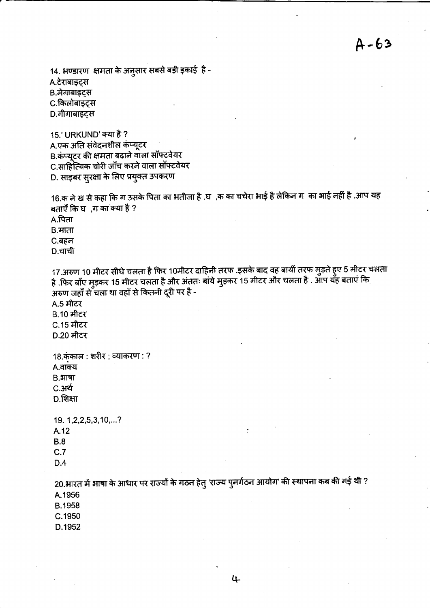14. भण्डारण क्षमता के अनुसार सबसे बड़ी इकाई है -

A टेराबाइट्स

B.मेगाबाइट्स

C.किलोबाइट्स

D.गीगाबाइट्स

15.' URKUND' क्या है ? A.एक अति संवेदनशील कंप्यूटर B.कंप्यूटर की क्षमता बढ़ाने वाला सॉफ्टवेयर C.साहित्यिक चोरी जाँच करने वाला सॉफ्टवेयर D. साइबर सुरक्षा के लिए प्रयुक्त उपकरण

16.क ने ख से कहा कि ग उसके पिता का भतीजा है .घ ,क का चचेरा भाई है लेकिन ग का भाई नहीं है .आप यह बताएँ कि घर,ग का क्या है ?  $A.\overline{R}$ ता

B.माता C.बहन

D.चाची

17.अरुण 10 मीटर सीधे चलता है फिर 10मीटर दाहिनी तरफ .इसके बाद वह बायीं तरफ मुड़ते हुए 5 मीटर चलता है .फिर बाँए मुड़कर 15 मीटर चलता है और अंततः बांये मुड़कर 15 मीटर और चलता है . आप यह बताएं कि .<br>अरुण जहाँ से चला था वहाँ से कितनी दूरी पर है -

A.5 मीटर **B.10 मीटर** C.15 मीटर D.20 मीटर

18.कुंकाल : शरीर ; व्याकरण : ? A.वाक्य

 $B.HI$ षा

C.अर्थ

 $D.$ शिक्षा

19. 1, 2, 2, 5, 3, 10, ...? A.12  $B.8$  $C.7$ 

 $D.4$ 

20.भारत में भाषा के आधार पर राज्यों के गठन हेतु 'राज्य पुनर्गठन आयोग' की स्थापना कब की गई थी ? A.1956 **B.1958** 

C.1950

D.1952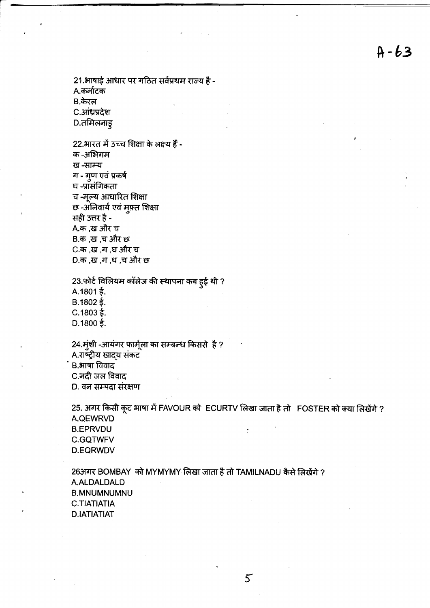21.भाषाई आधार पर गठित सर्वप्रथम राज्य है -A.कर्नाटक B.केरल C.आंध्रप्रदेश D.तमिलनाड्

22.भारत में उच्च शिक्षा के लक्ष्य हैं -क -अभिगम ख -साम्य ग - गुण एवं प्रकर्ष घ -प्रासंगिकता च -मूल्य आधारित शिक्षा छ -अनिवार्य एवं मुफ़्त शिक्षा सही उत्तर है -A.क ,ख और च B.क ,ख ,च और छ C.क ,ख ,ग ,घ और च D.क ,ख ,ग ,घ ,च और छ

23.फोर्ट विलियम कॉलेज की स्थापना कब हुई थी ?  $A.1801 \t\t\leq$ .  $B.1802 \t\t\leq.$  $C.1803 \t{5}$ . D.1800 $\frac{2}{5}$ .

24. मुंशी -आयंगर फार्मूला का सम्बन्ध किससे है? A.राष्ट्रीय खाद्य संकट B.भाषा विवाद C.नदी जल विवाद D. वन सम्पदा संरक्षण

25. अगर किसी कूट भाषा में FAVOUR को ECURTV लिखा जाता है तो FOSTER को क्या लिखेंगे ? A.QEWRVD **B.EPRVDU**  $\cdot$ **C.GQTWFV D.EQRWDV** 

263 गर BOMBAY को MYMYMY लिखा जाता है तो TAMILNADU कैसे लिखेंगे ? A.ALDALDALD **B.MNUMNUMNU C.TIATIATIA D.IATIATIAT**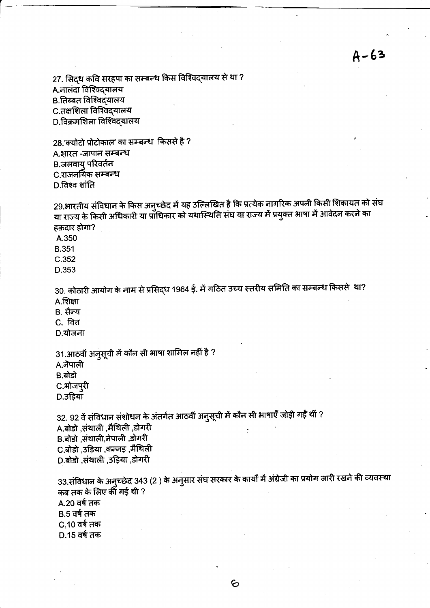27. सिद्ध कवि सरहपा का सम्बन्ध किस विश्विद्यालय से था ? A नालंदा विश्विद्यालय B.तिब्बत विश्विदयालय C.तक्षशिला विश्विद्यालय D.विक्रमशिला विश्विदयालय

28.'क्योटो प्रोटोकाल' का सम्बन्ध किससे है ? A.भारत -जापान सम्बन्ध B.जलवाय् परिवर्तन C.राजनयिक सम्बन्ध D.विश्व शांति

29.भारतीय संविधान के किस अनुच्छेद में यह उल्लिखित है कि प्रत्येक नागरिक अपनी किसी शिकायत को संघ या राज्य के किसी अधिकारी या प्राधिकार को यथास्थिति संघ या राज्य में प्रयुक्त भाषा में आवेदन करने का हक़दार होगा?

A.350 **B.351**  $C.352$ 

D.353

30. कोठारी आयोग के नाम से प्रसिद्ध 1964 ई. में गठित उच्च स्तरीय समिति का सम्बन्ध किससे था?  $A.$ शिक्षा

B. सैन्य

C. वित

D.योजना

31.आठवीं अनुसूची में कौन सी भाषा शामिल नहीं है ? A.नैपाली B.बोडो C.ओजप्**री** 

D.उड़ियाँ

32. 92 वें संविधान संशोधन के अंतर्गत आठवीं अनुसूची में कौन सी भाषाएँ जोड़ी गईं थीं ? A.बोडो ,संथाली ,मैथिली ,डोगरी B.बोडो संथाली,नेपाली ,डोगरी C.बोडो ,उड़िया ,कन्नड़ ,मैथिली D.बोडो ,संथाली ,उड़िया ,डोगरी

33.संविधान के अनुच्छेद 343 (2 ) के अनुसार संघ सरकार के कार्यों में अंग्रेजी का प्रयोग जारी रखने की व्यवस्था कब तक के लिए की गई थी ? A.20 वर्ष तक B.5 वर्ष तक C.10 वर्ष तक D.15 वर्ष तक

6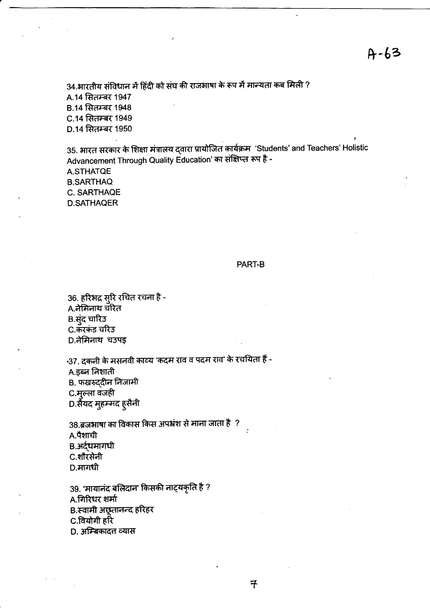34.भारतीय संविधान में हिंदी को संघ की राजभाषा के रूप में मान्यता कब मिली ? A.14 सितम्बर 1947 **B.14 सितम्बर 1948** C.14 सितम्बर 1949 D.14 सितम्बर 1950

35. भारत सरकार के शिक्षा मंत्रालय द्वारा प्रायोजित कार्यक्रम 'Students' and Teachers' Holistic Advancement Through Quality Education' का संक्षिप्त रूप है -**A.STHATQE B.SARTHAQ** 

C. SARTHAQE **D.SATHAQER** 

## PART-B

36. हरिभद्र सुरि रचित रचना है -A.नेमिनाथ चरित B.सुंद चारिउ C.करकंड चरिउ D.नेमिनाथ चउपइ

-37. दकनी के मसनवी काव्य 'कदम राव व पदम राव' के रचयिता हैं -A.इब्न निशाती B. फखरुद्दीन निजामी C.मूल्ला वजही D.सैयद मुहम्मद ह्सैनी

38 ब्रजभाषा का विकास किस अपभ्रंश से माना जाता है ? A.पैशाची B.अर्द्धमागधी C.शौरसेनी  $D$ .मागधी

39. 'मायानंद बलिदान' किसकी नाट्यकृति है ? A.गिरिधर शर्मा B.स्वामी अछूतानन्द हरिहर C.वियोगी हरि D. अम्बिकादत्त व्यास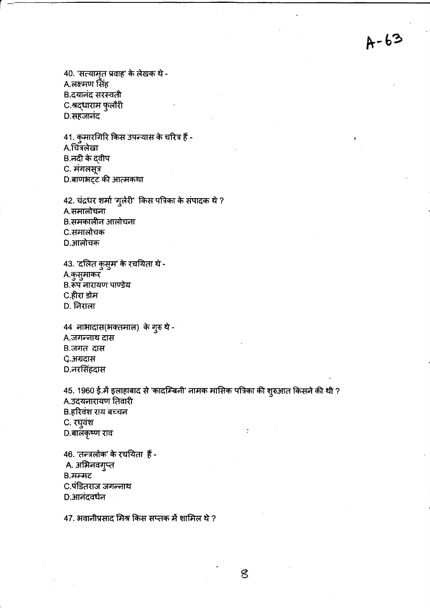40. 'सत्यामृत प्रवाह' के लेखक थे -A.लक्ष्मण सिंह B.दयानंद सरस्वती C.श्रद्धाराम फुलौरी D.सहजानंद

41. कुमारगिरि किस उपन्यास के चरित्र हैं - $A.$ चित्रलेखा B.नदी के दवीप C. मंगलसूत्र D.बाणभट्ट की आत्मकथा

42. चंद्रधर शर्मा 'गुलेरी' किस पत्रिका के संपादक थे ? A.समालोचना B.समकालीन आलोचना C.समालोचक D.आलोचक

43. 'दलित कुसूम' के रचयिता थे -A.कुसुमाकर B. रूप नारायण पाण्डेय C.हीरा डोम D. निराला

44 नाभादास(भक्तमाल) के गुरु थे -A.जगन्नाथ दास B.जगत दास C.अग्रदास D.नरसिंहदास

45. 1960 ई.में इलाहाबाद से 'कादम्बिनी' नामक मासिक पत्रिका की शुरुआत किसने की थी ? A.उदयनारायण तिवारी B.हरिवंश राय बच्चन C. रघुवंश D.बालकृष्ण राव

46. 'तन्त्रलोक' के रचयिता हैं -A. अभिनवगुप्त  $B$ , मम्मट C.पंडितराज जगन्नाथ D.आनंदवर्धन

47. भवानीप्रसाद मिश्र किस सप्तक में शामिल थे ?

 $\mathcal{E}$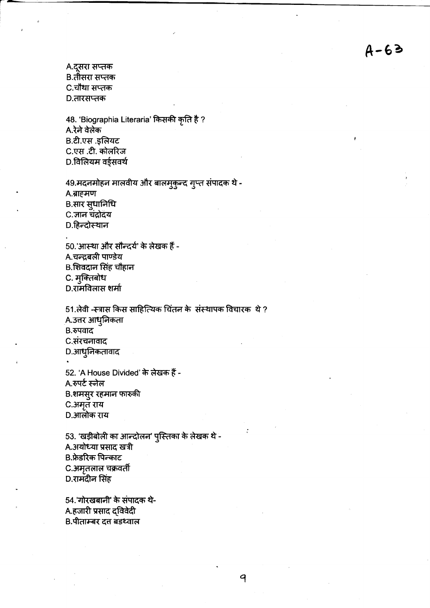A.दूसरा सप्तक B.तीसरा सप्तक C.चौथा सप्तक D.तारसप्तक

48. 'Biographia Literaria' किसकी कृति है ? A.रेने वेलेक B.टी.एस.इलियट C.एस.टी. कोलरिज D.विलियम वर्ड्सवर्थ

49.मदनमोहन मालवीय और बालमुकुन्द गुप्त संपादक थे -A.ब्राहमण B.सार सुधानिधि C.जान चंद्रोदय D.हिन्दोस्थान

50.'आस्था और सौन्दर्य' के लेखक हैं -A.चन्द्रबली पाण्डेय B.शिवदान सिंह चौहान C. मुक्तिबोध D.रामविलास शर्मा

51.लेवी -स्त्रास किस साहित्यिक चिंतन के संस्थापक विचारक थे ? A.उत्तर आधुनिकता B.रुपवाद C.संरचनावाद D.आधुनिकतावाद 52. 'A House Divided' के लेखक हैं -A.रुपर्ट स्नेल

9

B.शमसुर रहमान फारुकी C.अमृत राय

D.आलोक राय

53. 'खड़ीबोली का आन्दोलन' पुस्तिका के लेखक थे -A.अयोध्या प्रसाद खत्री B.फ्रेडरिक पिल्काट C.अमृतलाल चक्रवर्ती D.रामंदीन सिंह

54.'गोरखबानी' के संपादक थे-A.हजारी प्रसाद द्विवेदी B.पीताम्बर दत्त बडथ्वाल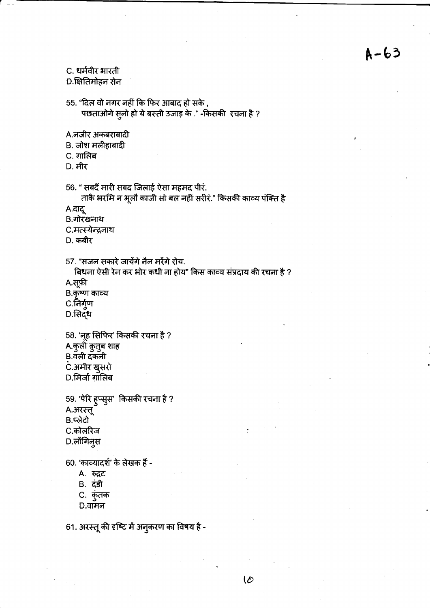# C. धर्मवीर भारती

D.क्षितिमोहन सेन

55. "दिल वो नगर नहीं कि फिर आबाद हो सके, पछताओगे सुनो हो ये बस्ती उजाइ के ." -किसकी रचना है ?

A.नजीर अकबराबादी

- B. जोश मलीहाबादी
- C. गालिब
- **D.** मीर

56. " सबदैं मारी सबद जिलाई ऐसा महमद पीरं. ताकै भरमि न भूलों काजी सो बल नहीं सरीरं." किसकी काव्य पंक्ति है

A.दादू

B.गोरखनाथ

C.मत्स्येन्द्रनाथ

D. कबीर

57. "सजन सकारे जायेंगे नैन मरेंगे रोय.

बिधना ऐसी रेन कर भोर कधी ना होय" किस काव्य संप्रदाय की रचना है ? A.सूफ़ी

B.कृष्ण काव्य

C.निर्गुण

D.सिद्ध

58. 'नूह सिफिर' किसकी रचना है ? A.कुली कुतुब शाह B.वॅली दॅकनी .<br>C.अमीर खुसरो D.मिर्जा ग़ॉलिब

59. 'पेरि हुप्सुस' किसकी रचना है ? A.अरस्तू B.प्लेटो C.कोलरिज D.लोंगिनुस

60. 'काव्यादर्श' के लेखक हैं -

- A. रुद्रट
- B. दंडी
- C. कुंतक
- $D.\overline{dH}$ न

61. अरस्तू की दृष्टि में अनुकरण का विषय है -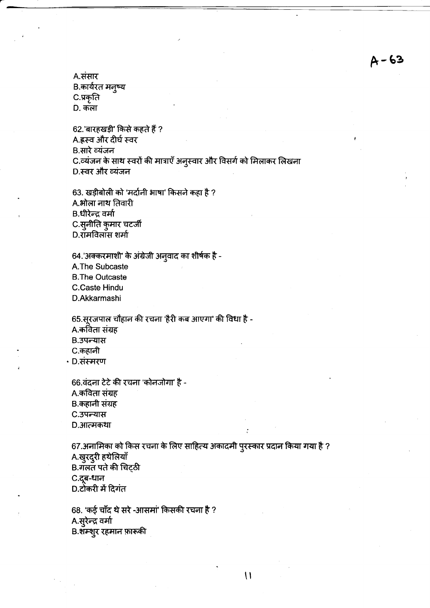A.संसार B.कार्यरत मनुष्य C.प्रकृति D. कला

62.'बारहखड़ी' किसे कहते हैं ? A.ह्रस्व और दीर्घ स्वर B.सारे व्यंजन C.व्यंजन के साथ स्वरों की मात्राएँ अनुस्वार और विसर्ग को मिलाकर लिखना D.स्वर और व्यंजन

63. खड़ीबोली को 'मर्दानी भाषा' किसने कहा है ? A.भोला नाथ तिवारी B.धीरेन्द्र वर्मा C.सूनीति कुमार चटर्जी D.रॉमविलॉस शर्मा

64.'अक्करमाशी' के अंग्रेजी अनुवाद का शीर्षक है -A.The Subcaste **B.The Outcaste C.Caste Hindu** D.Akkarmashi

65.सूरजपाल चौहान की रचना 'हैरी कब आएगा' की विधा है -A.कविता संग्रह B.उपन्यास C.कहानी · D.संस्मरण

66.वंदना टेटे की रचना 'कोनजोगा' है -A.कविता संग्रह B.कहानी संग्रह C.उपन्यास D.आत्मकथा

67.अनामिका को किस रचना के लिए साहित्य अकादमी पुरस्कार प्रदान किया गया है ? A.खुरदुरी हथेलियाँ B.गलत पते की चिट्ठी C.दूब-धान D.टोकरी में दिगंत

68. 'कई चाँद थे सरे -आसमां' किसकी रचना है ? A.सुरेन्द्र वर्मा B.शॅम्शूर रहमान फ़ारूकी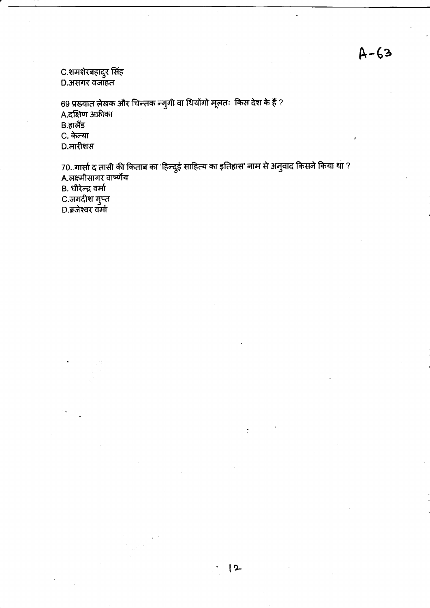C.शमशेरबहादुर सिंह<br>D.असगर वजाहत

69 प्रख्यात लेखक और चिन्तक न्गुगी वा थियोंगो मूलतः किस देश के हैं ? A.दक्षिण अफ्रीका  $B.$ हालैंड C. केन्या D.मारीशस

70. गार्सा द तासी की किताब का 'हिन्दुई साहित्य का इतिहास' नाम से अनुवाद किसने किया था ?<br>A.लक्ष्मीसागर वार्ष्णेय .<br>B. धीरेन्द्र वर्मा –, –, –, –, –, –,<br>C.जगदीश गुप्त<br>D.ब्रजेश्वर वर्मा

 $12$